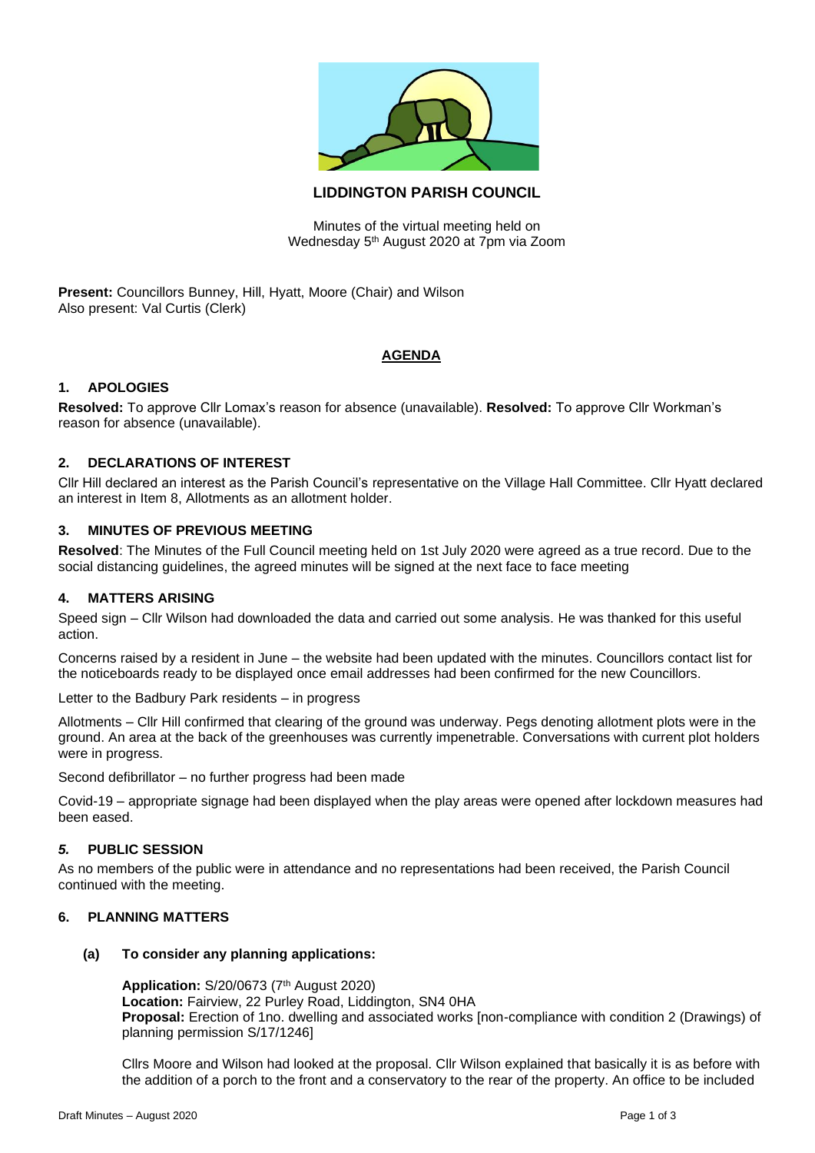

# **LIDDINGTON PARISH COUNCIL**

Minutes of the virtual meeting held on Wednesday 5<sup>th</sup> August 2020 at 7pm via Zoom

**Present:** Councillors Bunney, Hill, Hyatt, Moore (Chair) and Wilson Also present: Val Curtis (Clerk)

# **AGENDA**

# **1. APOLOGIES**

**Resolved:** To approve Cllr Lomax's reason for absence (unavailable). **Resolved:** To approve Cllr Workman's reason for absence (unavailable).

### **2. DECLARATIONS OF INTEREST**

Cllr Hill declared an interest as the Parish Council's representative on the Village Hall Committee. Cllr Hyatt declared an interest in Item 8, Allotments as an allotment holder.

### **3. MINUTES OF PREVIOUS MEETING**

**Resolved**: The Minutes of the Full Council meeting held on 1st July 2020 were agreed as a true record. Due to the social distancing guidelines, the agreed minutes will be signed at the next face to face meeting

#### **4. MATTERS ARISING**

Speed sign – Cllr Wilson had downloaded the data and carried out some analysis. He was thanked for this useful action.

Concerns raised by a resident in June – the website had been updated with the minutes. Councillors contact list for the noticeboards ready to be displayed once email addresses had been confirmed for the new Councillors.

Letter to the Badbury Park residents – in progress

Allotments – Cllr Hill confirmed that clearing of the ground was underway. Pegs denoting allotment plots were in the ground. An area at the back of the greenhouses was currently impenetrable. Conversations with current plot holders were in progress.

Second defibrillator – no further progress had been made

Covid-19 – appropriate signage had been displayed when the play areas were opened after lockdown measures had been eased.

#### *5.* **PUBLIC SESSION**

As no members of the public were in attendance and no representations had been received, the Parish Council continued with the meeting.

#### **6. PLANNING MATTERS**

#### **(a) To consider any planning applications:**

**Application:** S/20/0673 (7th August 2020) **Location:** Fairview, 22 Purley Road, Liddington, SN4 0HA **Proposal:** Erection of 1no. dwelling and associated works [non-compliance with condition 2 (Drawings) of planning permission S/17/1246]

Cllrs Moore and Wilson had looked at the proposal. Cllr Wilson explained that basically it is as before with the addition of a porch to the front and a conservatory to the rear of the property. An office to be included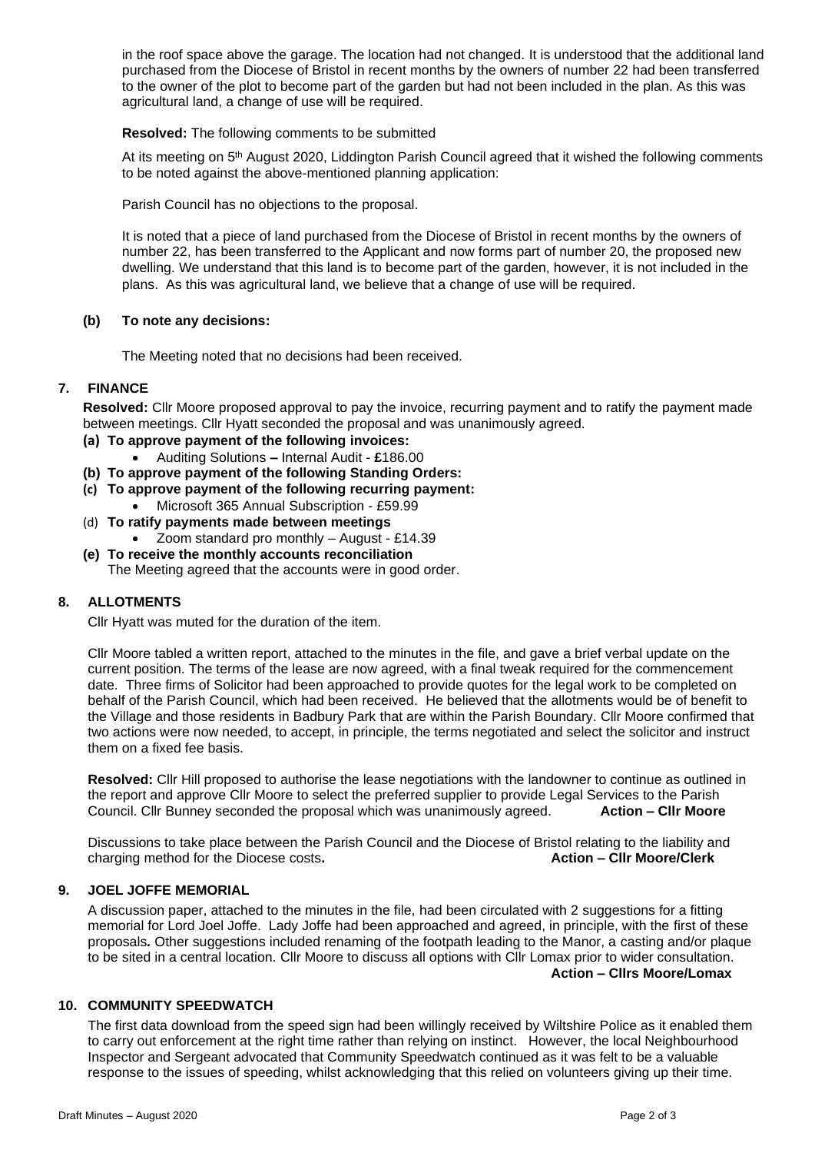in the roof space above the garage. The location had not changed. It is understood that the additional land purchased from the Diocese of Bristol in recent months by the owners of number 22 had been transferred to the owner of the plot to become part of the garden but had not been included in the plan. As this was agricultural land, a change of use will be required.

#### **Resolved:** The following comments to be submitted

At its meeting on 5th August 2020, Liddington Parish Council agreed that it wished the following comments to be noted against the above-mentioned planning application:

Parish Council has no objections to the proposal.

It is noted that a piece of land purchased from the Diocese of Bristol in recent months by the owners of number 22, has been transferred to the Applicant and now forms part of number 20, the proposed new dwelling. We understand that this land is to become part of the garden, however, it is not included in the plans. As this was agricultural land, we believe that a change of use will be required.

# **(b) To note any decisions:**

The Meeting noted that no decisions had been received.

# **7. FINANCE**

**Resolved:** Cllr Moore proposed approval to pay the invoice, recurring payment and to ratify the payment made between meetings. Cllr Hyatt seconded the proposal and was unanimously agreed.

- **(a) To approve payment of the following invoices:**
	- Auditing Solutions **–** Internal Audit **£**186.00
- **(b) To approve payment of the following Standing Orders:**
- **(c) To approve payment of the following recurring payment:** • Microsoft 365 Annual Subscription - £59.99
- (d) **To ratify payments made between meetings**
	- Zoom standard pro monthly August £14.39
- **(e) To receive the monthly accounts reconciliation** The Meeting agreed that the accounts were in good order.

# **8. ALLOTMENTS**

Cllr Hyatt was muted for the duration of the item.

Cllr Moore tabled a written report, attached to the minutes in the file, and gave a brief verbal update on the current position. The terms of the lease are now agreed, with a final tweak required for the commencement date. Three firms of Solicitor had been approached to provide quotes for the legal work to be completed on behalf of the Parish Council, which had been received. He believed that the allotments would be of benefit to the Village and those residents in Badbury Park that are within the Parish Boundary. Cllr Moore confirmed that two actions were now needed, to accept, in principle, the terms negotiated and select the solicitor and instruct them on a fixed fee basis.

**Resolved:** Cllr Hill proposed to authorise the lease negotiations with the landowner to continue as outlined in the report and approve Cllr Moore to select the preferred supplier to provide Legal Services to the Parish Council. Cllr Bunney seconded the proposal which was unanimously agreed. **Action – Cllr Moore**

Discussions to take place between the Parish Council and the Diocese of Bristol relating to the liability and charging method for the Diocese costs**. Action – Cllr Moore/Clerk**

# **9. JOEL JOFFE MEMORIAL**

A discussion paper, attached to the minutes in the file, had been circulated with 2 suggestions for a fitting memorial for Lord Joel Joffe. Lady Joffe had been approached and agreed, in principle, with the first of these proposals*.* Other suggestions included renaming of the footpath leading to the Manor, a casting and/or plaque to be sited in a central location. Cllr Moore to discuss all options with Cllr Lomax prior to wider consultation. **Action – Cllrs Moore/Lomax**

#### **10. COMMUNITY SPEEDWATCH**

The first data download from the speed sign had been willingly received by Wiltshire Police as it enabled them to carry out enforcement at the right time rather than relying on instinct. However, the local Neighbourhood Inspector and Sergeant advocated that Community Speedwatch continued as it was felt to be a valuable response to the issues of speeding, whilst acknowledging that this relied on volunteers giving up their time.